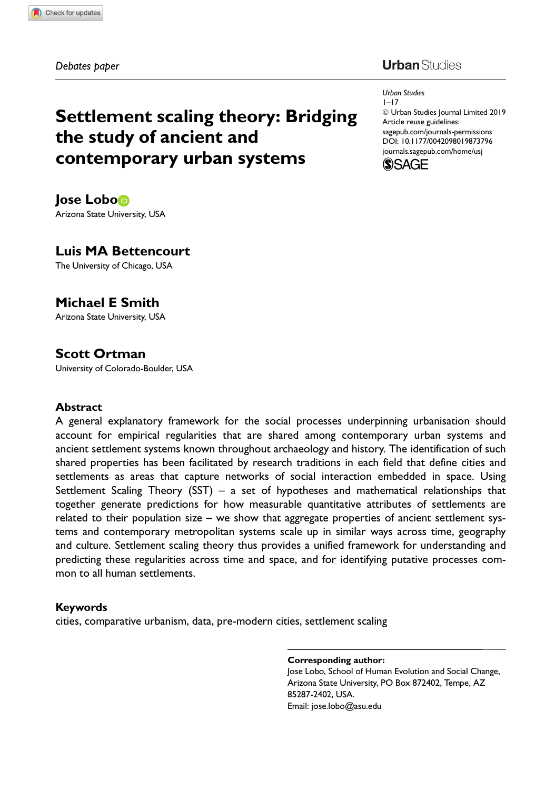Debates paper

# **Urban** Studies

Settlement scaling theory: Bridging the study of ancient and contemporary urban systems

Jose Lobo Arizona State University, USA

## Luis MA Bettencourt

The University of Chicago, USA

## Michael E Smith

Arizona State University, USA

## Scott Ortman

University of Colorado-Boulder, USA

#### **Abstract**

A general explanatory framework for the social processes underpinning urbanisation should account for empirical regularities that are shared among contemporary urban systems and ancient settlement systems known throughout archaeology and history. The identification of such shared properties has been facilitated by research traditions in each field that define cities and settlements as areas that capture networks of social interaction embedded in space. Using Settlement Scaling Theory (SST) – a set of hypotheses and mathematical relationships that together generate predictions for how measurable quantitative attributes of settlements are related to their population size – we show that aggregate properties of ancient settlement systems and contemporary metropolitan systems scale up in similar ways across time, geography and culture. Settlement scaling theory thus provides a unified framework for understanding and predicting these regularities across time and space, and for identifying putative processes common to all human settlements.

#### Keywords

cities, comparative urbanism, data, pre-modern cities, settlement scaling

Corresponding author:

Jose Lobo, School of Human Evolution and Social Change, Arizona State University, PO Box 872402, Tempe, AZ 85287-2402, USA. Email: jose.lobo@asu.edu

Urban Studies 1–17 - Urban Studies Journal Limited 2019 Article reuse guidelines: [sagepub.com/journals-permissions](https://uk.sagepub.com/en-gb/journals-permissions) [DOI: 10.1177/0042098019873796](https://doi.org/10.1177/0042098019873796) <journals.sagepub.com/home/usj>

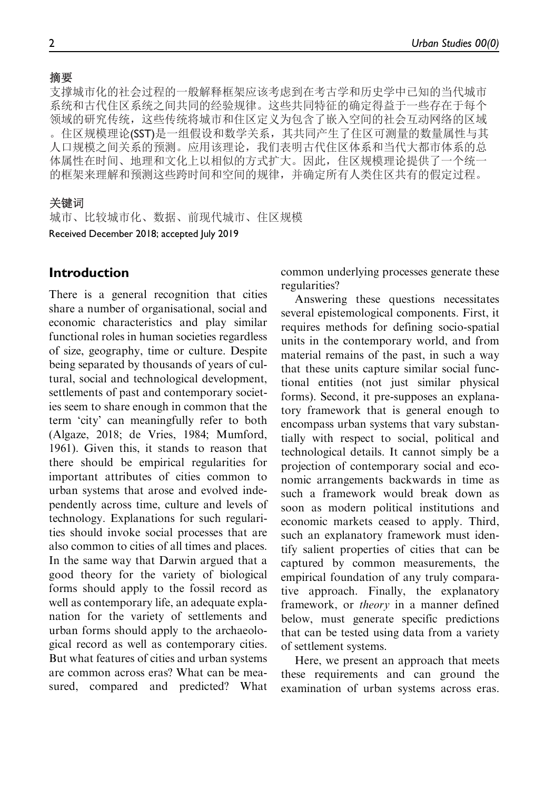支撑城市化的社会过程的一般解释框架应该考虑到在考古学和历史学中已知的当代城市 系统和古代住区系统之间共同的经验规律。这些共同特征的确定得益于一些存在于每个 领域的研究传统,这些传统将城市和住区定义为包含了嵌入空间的社会互动网络的区域 。住区规模理论(SST)是一组假设和数学关系,其共同产生了住区可测量的数量属性与其 人口规模之间关系的预测。应用该理论,我们表明古代住区体系和当代大都市体系的总 体属性在时间、地理和文化上以相似的方式扩大。因此,住区规模理论提供了一个统一 的框架来理解和预测这些跨时间和空间的规律,并确定所有人类住区共有的假定过程。

#### 关键词

Received December 2018; accepted July 2019 城市、比较城市化、数据、前现代城市、住区规模

### Introduction

There is a general recognition that cities share a number of organisational, social and economic characteristics and play similar functional roles in human societies regardless of size, geography, time or culture. Despite being separated by thousands of years of cultural, social and technological development, settlements of past and contemporary societies seem to share enough in common that the term 'city' can meaningfully refer to both (Algaze, 2018; de Vries, 1984; Mumford, 1961). Given this, it stands to reason that there should be empirical regularities for important attributes of cities common to urban systems that arose and evolved independently across time, culture and levels of technology. Explanations for such regularities should invoke social processes that are also common to cities of all times and places. In the same way that Darwin argued that a good theory for the variety of biological forms should apply to the fossil record as well as contemporary life, an adequate explanation for the variety of settlements and urban forms should apply to the archaeological record as well as contemporary cities. But what features of cities and urban systems are common across eras? What can be measured, compared and predicted? What common underlying processes generate these regularities?

Answering these questions necessitates several epistemological components. First, it requires methods for defining socio-spatial units in the contemporary world, and from material remains of the past, in such a way that these units capture similar social functional entities (not just similar physical forms). Second, it pre-supposes an explanatory framework that is general enough to encompass urban systems that vary substantially with respect to social, political and technological details. It cannot simply be a projection of contemporary social and economic arrangements backwards in time as such a framework would break down as soon as modern political institutions and economic markets ceased to apply. Third, such an explanatory framework must identify salient properties of cities that can be captured by common measurements, the empirical foundation of any truly comparative approach. Finally, the explanatory framework, or theory in a manner defined below, must generate specific predictions that can be tested using data from a variety of settlement systems.

Here, we present an approach that meets these requirements and can ground the examination of urban systems across eras.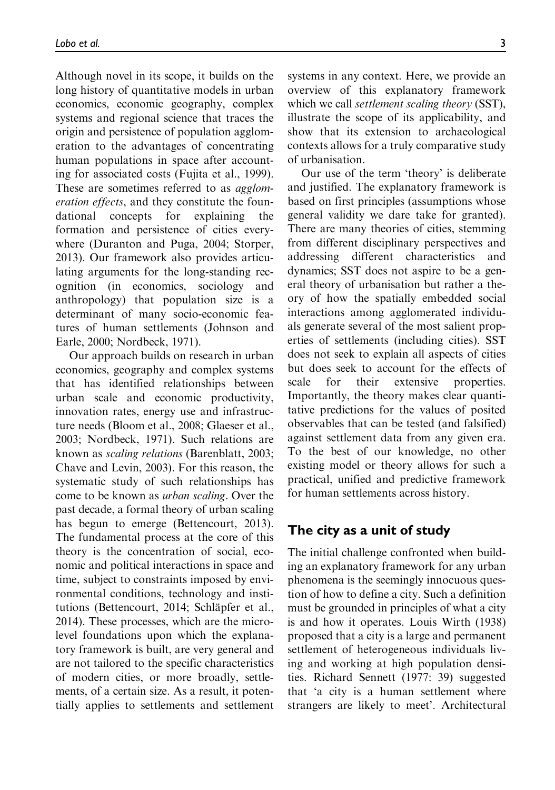Although novel in its scope, it builds on the long history of quantitative models in urban economics, economic geography, complex systems and regional science that traces the origin and persistence of population agglomeration to the advantages of concentrating human populations in space after accounting for associated costs (Fujita et al., 1999). These are sometimes referred to as *agglom*eration effects, and they constitute the foundational concepts for explaining the formation and persistence of cities everywhere (Duranton and Puga, 2004; Storper, 2013). Our framework also provides articulating arguments for the long-standing recognition (in economics, sociology and anthropology) that population size is a determinant of many socio-economic features of human settlements (Johnson and Earle, 2000; Nordbeck, 1971).

Our approach builds on research in urban economics, geography and complex systems that has identified relationships between urban scale and economic productivity, innovation rates, energy use and infrastructure needs (Bloom et al., 2008; Glaeser et al., 2003; Nordbeck, 1971). Such relations are known as scaling relations (Barenblatt, 2003; Chave and Levin, 2003). For this reason, the systematic study of such relationships has come to be known as urban scaling. Over the past decade, a formal theory of urban scaling has begun to emerge (Bettencourt, 2013). The fundamental process at the core of this theory is the concentration of social, economic and political interactions in space and time, subject to constraints imposed by environmental conditions, technology and institutions (Bettencourt, 2014; Schläpfer et al., 2014). These processes, which are the microlevel foundations upon which the explanatory framework is built, are very general and are not tailored to the specific characteristics of modern cities, or more broadly, settlements, of a certain size. As a result, it potentially applies to settlements and settlement systems in any context. Here, we provide an overview of this explanatory framework which we call *settlement scaling theory* (SST), illustrate the scope of its applicability, and show that its extension to archaeological contexts allows for a truly comparative study of urbanisation.

Our use of the term 'theory' is deliberate and justified. The explanatory framework is based on first principles (assumptions whose general validity we dare take for granted). There are many theories of cities, stemming from different disciplinary perspectives and addressing different characteristics and dynamics; SST does not aspire to be a general theory of urbanisation but rather a theory of how the spatially embedded social interactions among agglomerated individuals generate several of the most salient properties of settlements (including cities). SST does not seek to explain all aspects of cities but does seek to account for the effects of scale for their extensive properties. Importantly, the theory makes clear quantitative predictions for the values of posited observables that can be tested (and falsified) against settlement data from any given era. To the best of our knowledge, no other existing model or theory allows for such a practical, unified and predictive framework for human settlements across history.

## The city as a unit of study

The initial challenge confronted when building an explanatory framework for any urban phenomena is the seemingly innocuous question of how to define a city. Such a definition must be grounded in principles of what a city is and how it operates. Louis Wirth (1938) proposed that a city is a large and permanent settlement of heterogeneous individuals living and working at high population densities. Richard Sennett (1977: 39) suggested that 'a city is a human settlement where strangers are likely to meet'. Architectural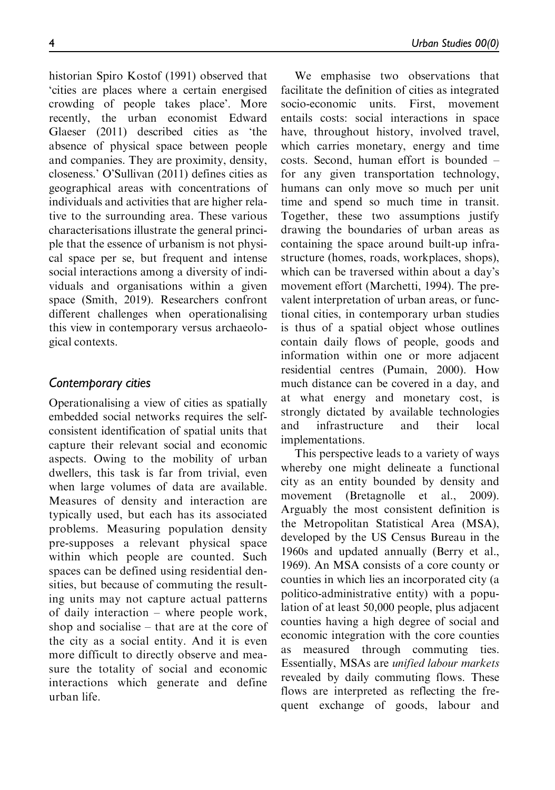historian Spiro Kostof (1991) observed that 'cities are places where a certain energised crowding of people takes place'. More recently, the urban economist Edward Glaeser (2011) described cities as 'the absence of physical space between people and companies. They are proximity, density, closeness.' O'Sullivan (2011) defines cities as geographical areas with concentrations of individuals and activities that are higher relative to the surrounding area. These various characterisations illustrate the general principle that the essence of urbanism is not physical space per se, but frequent and intense social interactions among a diversity of individuals and organisations within a given space (Smith, 2019). Researchers confront different challenges when operationalising this view in contemporary versus archaeological contexts.

# Contemporary cities

Operationalising a view of cities as spatially embedded social networks requires the selfconsistent identification of spatial units that capture their relevant social and economic aspects. Owing to the mobility of urban dwellers, this task is far from trivial, even when large volumes of data are available. Measures of density and interaction are typically used, but each has its associated problems. Measuring population density pre-supposes a relevant physical space within which people are counted. Such spaces can be defined using residential densities, but because of commuting the resulting units may not capture actual patterns of daily interaction – where people work, shop and socialise – that are at the core of the city as a social entity. And it is even more difficult to directly observe and measure the totality of social and economic interactions which generate and define urban life.

We emphasise two observations that facilitate the definition of cities as integrated socio-economic units. First, movement entails costs: social interactions in space have, throughout history, involved travel, which carries monetary, energy and time costs. Second, human effort is bounded – for any given transportation technology, humans can only move so much per unit time and spend so much time in transit. Together, these two assumptions justify drawing the boundaries of urban areas as containing the space around built-up infrastructure (homes, roads, workplaces, shops), which can be traversed within about a day's movement effort (Marchetti, 1994). The prevalent interpretation of urban areas, or functional cities, in contemporary urban studies is thus of a spatial object whose outlines contain daily flows of people, goods and information within one or more adjacent residential centres (Pumain, 2000). How much distance can be covered in a day, and at what energy and monetary cost, is strongly dictated by available technologies and infrastructure and their local implementations.

This perspective leads to a variety of ways whereby one might delineate a functional city as an entity bounded by density and movement (Bretagnolle et al., 2009). Arguably the most consistent definition is the Metropolitan Statistical Area (MSA), developed by the US Census Bureau in the 1960s and updated annually (Berry et al., 1969). An MSA consists of a core county or counties in which lies an incorporated city (a politico-administrative entity) with a population of at least 50,000 people, plus adjacent counties having a high degree of social and economic integration with the core counties as measured through commuting ties. Essentially, MSAs are unified labour markets revealed by daily commuting flows. These flows are interpreted as reflecting the frequent exchange of goods, labour and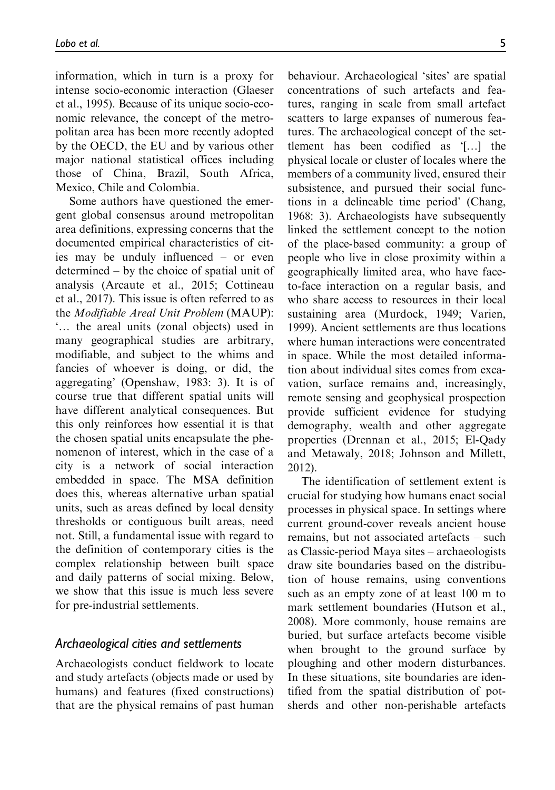information, which in turn is a proxy for intense socio-economic interaction (Glaeser et al., 1995). Because of its unique socio-economic relevance, the concept of the metropolitan area has been more recently adopted by the OECD, the EU and by various other major national statistical offices including those of China, Brazil, South Africa, Mexico, Chile and Colombia.

Some authors have questioned the emergent global consensus around metropolitan area definitions, expressing concerns that the documented empirical characteristics of cities may be unduly influenced – or even determined – by the choice of spatial unit of analysis (Arcaute et al., 2015; Cottineau et al., 2017). This issue is often referred to as the Modifiable Areal Unit Problem (MAUP): ... the areal units (zonal objects) used in many geographical studies are arbitrary, modifiable, and subject to the whims and fancies of whoever is doing, or did, the aggregating' (Openshaw, 1983: 3). It is of course true that different spatial units will have different analytical consequences. But this only reinforces how essential it is that the chosen spatial units encapsulate the phenomenon of interest, which in the case of a city is a network of social interaction embedded in space. The MSA definition does this, whereas alternative urban spatial units, such as areas defined by local density thresholds or contiguous built areas, need not. Still, a fundamental issue with regard to the definition of contemporary cities is the complex relationship between built space and daily patterns of social mixing. Below, we show that this issue is much less severe for pre-industrial settlements.

### Archaeological cities and settlements

Archaeologists conduct fieldwork to locate and study artefacts (objects made or used by humans) and features (fixed constructions) that are the physical remains of past human

behaviour. Archaeological 'sites' are spatial concentrations of such artefacts and features, ranging in scale from small artefact scatters to large expanses of numerous features. The archaeological concept of the settlement has been codified as '[...] the physical locale or cluster of locales where the members of a community lived, ensured their subsistence, and pursued their social functions in a delineable time period' (Chang, 1968: 3). Archaeologists have subsequently linked the settlement concept to the notion of the place-based community: a group of people who live in close proximity within a geographically limited area, who have faceto-face interaction on a regular basis, and who share access to resources in their local sustaining area (Murdock, 1949; Varien, 1999). Ancient settlements are thus locations where human interactions were concentrated in space. While the most detailed information about individual sites comes from excavation, surface remains and, increasingly, remote sensing and geophysical prospection provide sufficient evidence for studying demography, wealth and other aggregate properties (Drennan et al., 2015; El-Qady and Metawaly, 2018; Johnson and Millett, 2012).

The identification of settlement extent is crucial for studying how humans enact social processes in physical space. In settings where current ground-cover reveals ancient house remains, but not associated artefacts – such as Classic-period Maya sites – archaeologists draw site boundaries based on the distribution of house remains, using conventions such as an empty zone of at least 100 m to mark settlement boundaries (Hutson et al., 2008). More commonly, house remains are buried, but surface artefacts become visible when brought to the ground surface by ploughing and other modern disturbances. In these situations, site boundaries are identified from the spatial distribution of potsherds and other non-perishable artefacts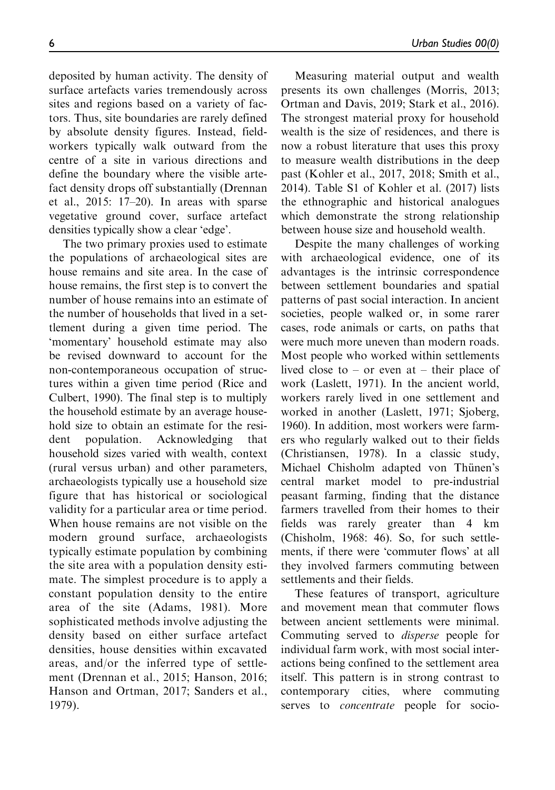deposited by human activity. The density of surface artefacts varies tremendously across sites and regions based on a variety of factors. Thus, site boundaries are rarely defined by absolute density figures. Instead, fieldworkers typically walk outward from the centre of a site in various directions and define the boundary where the visible artefact density drops off substantially (Drennan et al., 2015: 17–20). In areas with sparse vegetative ground cover, surface artefact densities typically show a clear 'edge'.

The two primary proxies used to estimate the populations of archaeological sites are house remains and site area. In the case of house remains, the first step is to convert the number of house remains into an estimate of the number of households that lived in a settlement during a given time period. The 'momentary' household estimate may also be revised downward to account for the non-contemporaneous occupation of structures within a given time period (Rice and Culbert, 1990). The final step is to multiply the household estimate by an average household size to obtain an estimate for the resident population. Acknowledging that household sizes varied with wealth, context (rural versus urban) and other parameters, archaeologists typically use a household size figure that has historical or sociological validity for a particular area or time period. When house remains are not visible on the modern ground surface, archaeologists typically estimate population by combining the site area with a population density estimate. The simplest procedure is to apply a constant population density to the entire area of the site (Adams, 1981). More sophisticated methods involve adjusting the density based on either surface artefact densities, house densities within excavated areas, and/or the inferred type of settlement (Drennan et al., 2015; Hanson, 2016; Hanson and Ortman, 2017; Sanders et al., 1979).

Measuring material output and wealth presents its own challenges (Morris, 2013; Ortman and Davis, 2019; Stark et al., 2016). The strongest material proxy for household wealth is the size of residences, and there is now a robust literature that uses this proxy to measure wealth distributions in the deep past (Kohler et al., 2017, 2018; Smith et al., 2014). Table S1 of Kohler et al. (2017) lists the ethnographic and historical analogues which demonstrate the strong relationship between house size and household wealth.

Despite the many challenges of working with archaeological evidence, one of its advantages is the intrinsic correspondence between settlement boundaries and spatial patterns of past social interaction. In ancient societies, people walked or, in some rarer cases, rode animals or carts, on paths that were much more uneven than modern roads. Most people who worked within settlements lived close to – or even at – their place of work (Laslett, 1971). In the ancient world, workers rarely lived in one settlement and worked in another (Laslett, 1971; Sjoberg, 1960). In addition, most workers were farmers who regularly walked out to their fields (Christiansen, 1978). In a classic study, Michael Chisholm adapted von Thünen's central market model to pre-industrial peasant farming, finding that the distance farmers travelled from their homes to their fields was rarely greater than 4 km (Chisholm, 1968: 46). So, for such settlements, if there were 'commuter flows' at all they involved farmers commuting between settlements and their fields.

These features of transport, agriculture and movement mean that commuter flows between ancient settlements were minimal. Commuting served to disperse people for individual farm work, with most social interactions being confined to the settlement area itself. This pattern is in strong contrast to contemporary cities, where commuting serves to *concentrate* people for socio-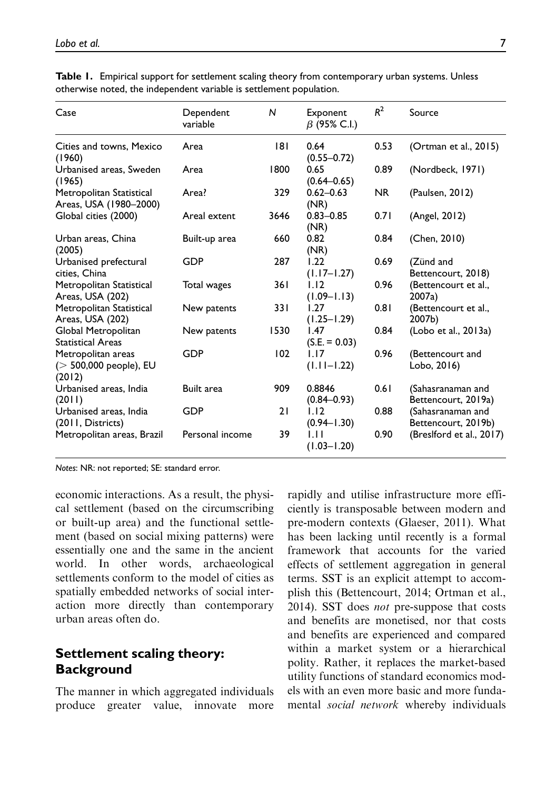| Case                                                     | Dependent<br>variable | N    | Exponent<br>$\beta$ (95% C.I.) | $R^2$     | Source                                   |
|----------------------------------------------------------|-----------------------|------|--------------------------------|-----------|------------------------------------------|
| Cities and towns, Mexico<br>(1960)                       | Area                  | 181  | 0.64<br>$(0.55 - 0.72)$        | 0.53      | (Ortman et al., 2015)                    |
| Urbanised areas, Sweden<br>(1965)                        | Area                  | 1800 | 0.65<br>$(0.64 - 0.65)$        | 0.89      | (Nordbeck, 1971)                         |
| Metropolitan Statistical<br>Areas, USA (1980–2000)       | Area?                 | 329  | $0.62 - 0.63$<br>(NR)          | <b>NR</b> | (Paulsen, 2012)                          |
| Global cities (2000)                                     | Areal extent          | 3646 | $0.83 - 0.85$<br>(NR)          | 0.71      | (Angel, 2012)                            |
| Urban areas, China<br>(2005)                             | Built-up area         | 660  | 0.82<br>(NR)                   | 0.84      | (Chen, 2010)                             |
| Urbanised prefectural<br>cities. China                   | GDP                   | 287  | 1.22<br>$(1.17 - 1.27)$        | 0.69      | (Zünd and<br>Bettencourt, 2018)          |
| Metropolitan Statistical<br>Areas, USA (202)             | Total wages           | 361  | 1.12<br>$(1.09 - 1.13)$        | 0.96      | (Bettencourt et al.,<br>2007a)           |
| Metropolitan Statistical<br>Areas, USA (202)             | New patents           | 331  | 1.27<br>$(1.25 - 1.29)$        | 0.81      | (Bettencourt et al.,<br>2007b)           |
| Global Metropolitan<br><b>Statistical Areas</b>          | New patents           | 1530 | 1.47<br>$(S.E. = 0.03)$        | 0.84      | (Lobo et al., 2013a)                     |
| Metropolitan areas<br>$(> 500,000$ people), EU<br>(2012) | GDP                   | 102  | 1.17<br>$(1.11 - 1.22)$        | 0.96      | (Bettencourt and<br>Lobo, 2016)          |
| Urbanised areas, India<br>(2011)                         | Built area            | 909  | 0.8846<br>$(0.84 - 0.93)$      | 0.61      | (Sahasranaman and<br>Bettencourt, 2019a) |
| Urbanised areas, India<br>(2011, Districts)              | <b>GDP</b>            | 21   | 1.12<br>$(0.94 - 1.30)$        | 0.88      | (Sahasranaman and<br>Bettencourt, 2019b) |
| Metropolitan areas, Brazil                               | Personal income       | 39   | ЫI<br>$(1.03 - 1.20)$          | 0.90      | (Breslford et al., 2017)                 |

Table 1. Empirical support for settlement scaling theory from contemporary urban systems. Unless otherwise noted, the independent variable is settlement population.

Notes: NR: not reported; SE: standard error.

economic interactions. As a result, the physical settlement (based on the circumscribing or built-up area) and the functional settlement (based on social mixing patterns) were essentially one and the same in the ancient world. In other words, archaeological settlements conform to the model of cities as spatially embedded networks of social interaction more directly than contemporary urban areas often do.

# Settlement scaling theory: **Background**

The manner in which aggregated individuals produce greater value, innovate more

rapidly and utilise infrastructure more efficiently is transposable between modern and pre-modern contexts (Glaeser, 2011). What has been lacking until recently is a formal framework that accounts for the varied effects of settlement aggregation in general terms. SST is an explicit attempt to accomplish this (Bettencourt, 2014; Ortman et al., 2014). SST does *not* pre-suppose that costs and benefits are monetised, nor that costs and benefits are experienced and compared within a market system or a hierarchical polity. Rather, it replaces the market-based utility functions of standard economics models with an even more basic and more fundamental social network whereby individuals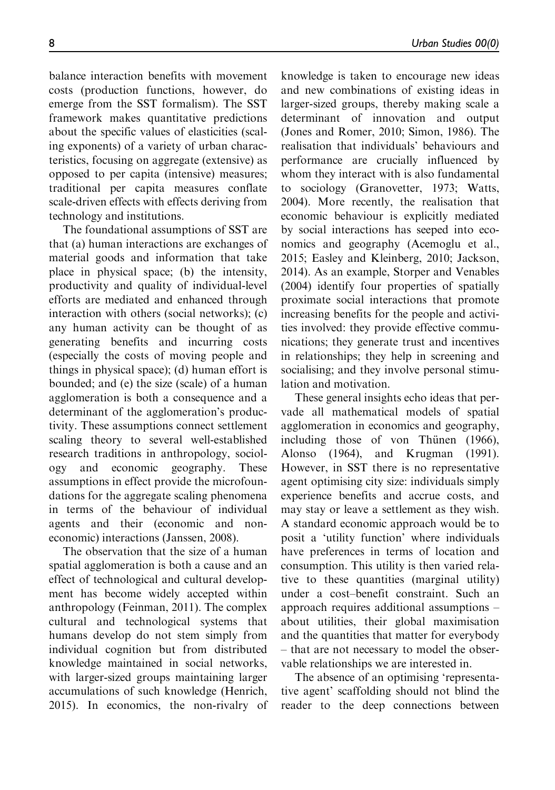balance interaction benefits with movement costs (production functions, however, do emerge from the SST formalism). The SST framework makes quantitative predictions about the specific values of elasticities (scaling exponents) of a variety of urban characteristics, focusing on aggregate (extensive) as opposed to per capita (intensive) measures; traditional per capita measures conflate scale-driven effects with effects deriving from technology and institutions.

The foundational assumptions of SST are that (a) human interactions are exchanges of material goods and information that take place in physical space; (b) the intensity, productivity and quality of individual-level efforts are mediated and enhanced through interaction with others (social networks); (c) any human activity can be thought of as generating benefits and incurring costs (especially the costs of moving people and things in physical space); (d) human effort is bounded; and (e) the size (scale) of a human agglomeration is both a consequence and a determinant of the agglomeration's productivity. These assumptions connect settlement scaling theory to several well-established research traditions in anthropology, sociology and economic geography. These assumptions in effect provide the microfoundations for the aggregate scaling phenomena in terms of the behaviour of individual agents and their (economic and noneconomic) interactions (Janssen, 2008).

The observation that the size of a human spatial agglomeration is both a cause and an effect of technological and cultural development has become widely accepted within anthropology (Feinman, 2011). The complex cultural and technological systems that humans develop do not stem simply from individual cognition but from distributed knowledge maintained in social networks, with larger-sized groups maintaining larger accumulations of such knowledge (Henrich, 2015). In economics, the non-rivalry of

knowledge is taken to encourage new ideas and new combinations of existing ideas in larger-sized groups, thereby making scale a determinant of innovation and output (Jones and Romer, 2010; Simon, 1986). The realisation that individuals' behaviours and performance are crucially influenced by whom they interact with is also fundamental to sociology (Granovetter, 1973; Watts, 2004). More recently, the realisation that economic behaviour is explicitly mediated by social interactions has seeped into economics and geography (Acemoglu et al., 2015; Easley and Kleinberg, 2010; Jackson, 2014). As an example, Storper and Venables (2004) identify four properties of spatially proximate social interactions that promote increasing benefits for the people and activities involved: they provide effective communications; they generate trust and incentives in relationships; they help in screening and socialising; and they involve personal stimulation and motivation.

These general insights echo ideas that pervade all mathematical models of spatial agglomeration in economics and geography, including those of von Thünen (1966), Alonso (1964), and Krugman (1991). However, in SST there is no representative agent optimising city size: individuals simply experience benefits and accrue costs, and may stay or leave a settlement as they wish. A standard economic approach would be to posit a 'utility function' where individuals have preferences in terms of location and consumption. This utility is then varied relative to these quantities (marginal utility) under a cost–benefit constraint. Such an approach requires additional assumptions – about utilities, their global maximisation and the quantities that matter for everybody – that are not necessary to model the observable relationships we are interested in.

The absence of an optimising 'representative agent' scaffolding should not blind the reader to the deep connections between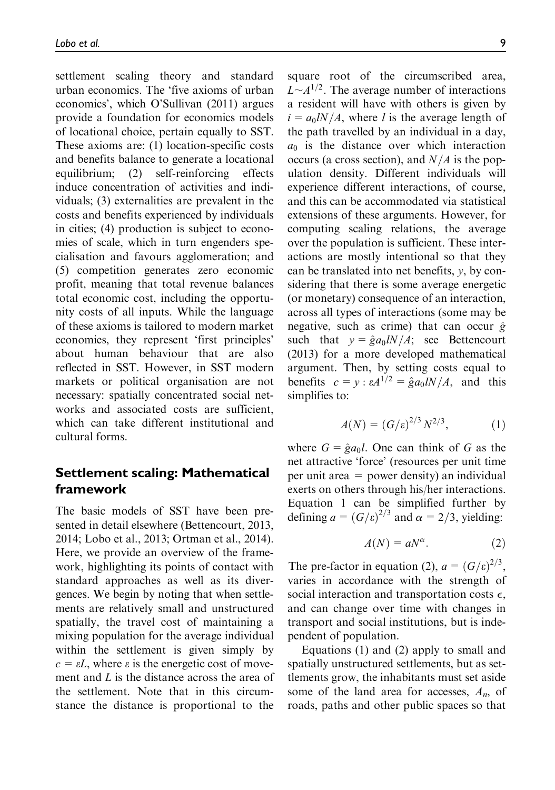settlement scaling theory and standard urban economics. The 'five axioms of urban economics', which O'Sullivan (2011) argues provide a foundation for economics models of locational choice, pertain equally to SST. These axioms are: (1) location-specific costs and benefits balance to generate a locational equilibrium; (2) self-reinforcing effects induce concentration of activities and individuals; (3) externalities are prevalent in the costs and benefits experienced by individuals in cities; (4) production is subject to economies of scale, which in turn engenders specialisation and favours agglomeration; and (5) competition generates zero economic profit, meaning that total revenue balances total economic cost, including the opportunity costs of all inputs. While the language of these axioms is tailored to modern market economies, they represent 'first principles' about human behaviour that are also reflected in SST. However, in SST modern markets or political organisation are not necessary: spatially concentrated social networks and associated costs are sufficient, which can take different institutional and cultural forms.

## Settlement scaling: Mathematical framework

The basic models of SST have been presented in detail elsewhere (Bettencourt, 2013, 2014; Lobo et al., 2013; Ortman et al., 2014). Here, we provide an overview of the framework, highlighting its points of contact with standard approaches as well as its divergences. We begin by noting that when settlements are relatively small and unstructured spatially, the travel cost of maintaining a mixing population for the average individual within the settlement is given simply by  $c = \varepsilon L$ , where  $\varepsilon$  is the energetic cost of movement and L is the distance across the area of the settlement. Note that in this circumstance the distance is proportional to the

square root of the circumscribed area,  $L \sim A^{1/2}$ . The average number of interactions a resident will have with others is given by  $i = a_0/N/A$ , where l is the average length of the path travelled by an individual in a day,  $a_0$  is the distance over which interaction occurs (a cross section), and  $N/A$  is the population density. Different individuals will experience different interactions, of course, and this can be accommodated via statistical extensions of these arguments. However, for computing scaling relations, the average over the population is sufficient. These interactions are mostly intentional so that they can be translated into net benefits,  $y$ , by considering that there is some average energetic (or monetary) consequence of an interaction, across all types of interactions (some may be negative, such as crime) that can occur  $\hat{g}$ such that  $y = \hat{g} a_0 l N/A$ ; see Bettencourt (2013) for a more developed mathematical argument. Then, by setting costs equal to benefits  $c = y : \varepsilon A^{1/2} = \hat{g} a_0 l N/A$ , and this simplifies to:

$$
A(N) = (G/\varepsilon)^{2/3} N^{2/3}, \tag{1}
$$

where  $G = \hat{g} a_0 l$ . One can think of G as the net attractive 'force' (resources per unit time per unit area = power density) an individual exerts on others through his/her interactions. Equation 1 can be simplified further by defining  $a = (G/\varepsilon)^{2/3}$  and  $\alpha = 2/3$ , yielding:

$$
A(N) = aN^{\alpha}.
$$
 (2)

The pre-factor in equation (2),  $a = (G/\varepsilon)^{2/3}$ , varies in accordance with the strength of social interaction and transportation costs  $\epsilon$ , and can change over time with changes in transport and social institutions, but is independent of population.

Equations (1) and (2) apply to small and spatially unstructured settlements, but as settlements grow, the inhabitants must set aside some of the land area for accesses,  $A_n$ , of roads, paths and other public spaces so that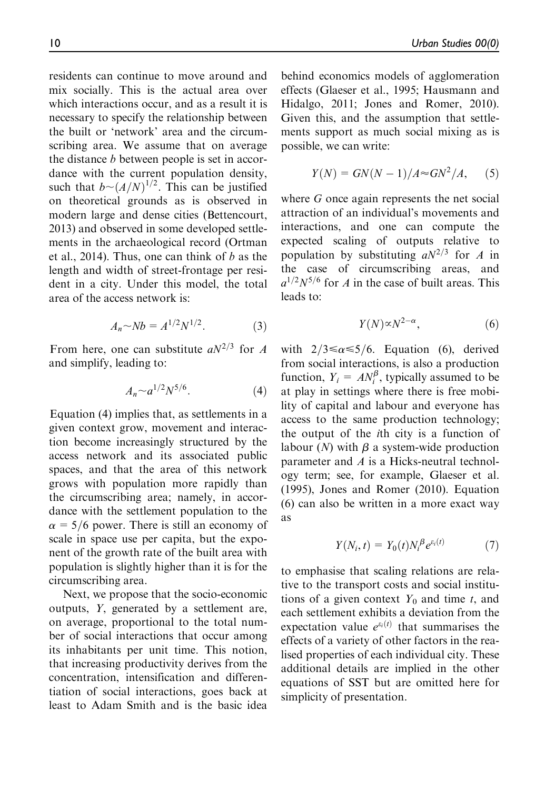residents can continue to move around and mix socially. This is the actual area over which interactions occur, and as a result it is necessary to specify the relationship between the built or 'network' area and the circumscribing area. We assume that on average the distance b between people is set in accordance with the current population density, such that  $b \sim (A/N)^{1/2}$ . This can be justified on theoretical grounds as is observed in modern large and dense cities (Bettencourt, 2013) and observed in some developed settlements in the archaeological record (Ortman et al., 2014). Thus, one can think of  *as the* length and width of street-frontage per resident in a city. Under this model, the total area of the access network is:

$$
A_n \sim Nb = A^{1/2} N^{1/2}.
$$
 (3)

From here, one can substitute  $aN^{2/3}$  for A and simplify, leading to:

$$
A_n \sim a^{1/2} N^{5/6}.\tag{4}
$$

Equation (4) implies that, as settlements in a given context grow, movement and interaction become increasingly structured by the access network and its associated public spaces, and that the area of this network grows with population more rapidly than the circumscribing area; namely, in accordance with the settlement population to the  $\alpha$  = 5/6 power. There is still an economy of scale in space use per capita, but the exponent of the growth rate of the built area with population is slightly higher than it is for the circumscribing area.

Next, we propose that the socio-economic outputs, Y, generated by a settlement are, on average, proportional to the total number of social interactions that occur among its inhabitants per unit time. This notion, that increasing productivity derives from the concentration, intensification and differentiation of social interactions, goes back at least to Adam Smith and is the basic idea

behind economics models of agglomeration effects (Glaeser et al., 1995; Hausmann and Hidalgo, 2011; Jones and Romer, 2010). Given this, and the assumption that settlements support as much social mixing as is possible, we can write:

$$
Y(N) = GN(N-1)/A \approx GN^2/A, \quad (5)
$$

where G once again represents the net social attraction of an individual's movements and interactions, and one can compute the expected scaling of outputs relative to population by substituting  $aN^{2/3}$  for A in the case of circumscribing areas, and  $a^{1/2}N^{5/6}$  for A in the case of built areas. This leads to:

$$
Y(N) \propto N^{2-\alpha},\tag{6}
$$

with  $2/3 \le \alpha \le 5/6$ . Equation (6), derived from social interactions, is also a production function,  $Y_i = AN_i^{\beta}$ , typically assumed to be at play in settings where there is free mobility of capital and labour and everyone has access to the same production technology; the output of the ith city is a function of labour  $(N)$  with  $\beta$  a system-wide production parameter and A is a Hicks-neutral technology term; see, for example, Glaeser et al. (1995), Jones and Romer (2010). Equation (6) can also be written in a more exact way as

$$
Y(N_i, t) = Y_0(t) N_i^{\beta} e^{\varepsilon_i(t)} \tag{7}
$$

to emphasise that scaling relations are relative to the transport costs and social institutions of a given context  $Y_0$  and time t, and each settlement exhibits a deviation from the expectation value  $e^{\varepsilon_i(t)}$  that summarises the effects of a variety of other factors in the realised properties of each individual city. These additional details are implied in the other equations of SST but are omitted here for simplicity of presentation.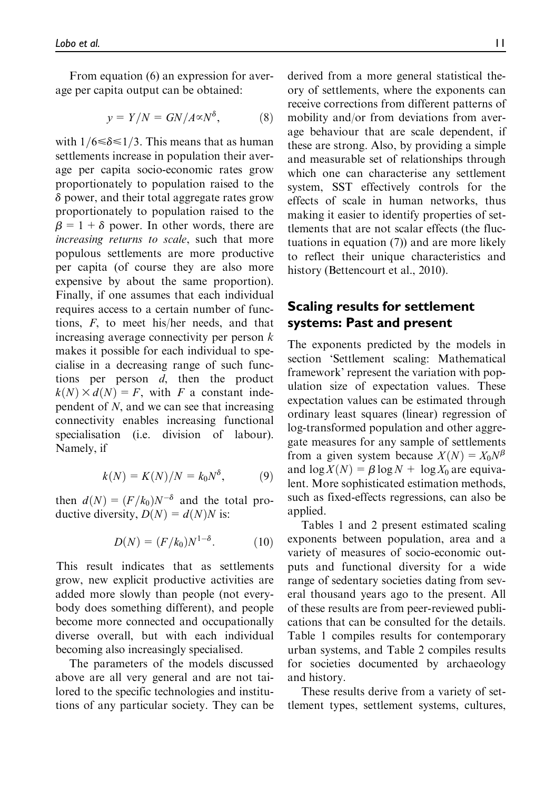From equation (6) an expression for average per capita output can be obtained:

$$
y = Y/N = GN/A \propto N^{\delta}, \tag{8}
$$

with  $1/6 \le \delta \le 1/3$ . This means that as human settlements increase in population their average per capita socio-economic rates grow proportionately to population raised to the  $\delta$  power, and their total aggregate rates grow proportionately to population raised to the  $\beta = 1 + \delta$  power. In other words, there are increasing returns to scale, such that more populous settlements are more productive per capita (of course they are also more expensive by about the same proportion). Finally, if one assumes that each individual requires access to a certain number of functions, F, to meet his/her needs, and that increasing average connectivity per person  $k$ makes it possible for each individual to specialise in a decreasing range of such functions per person d, then the product  $k(N) \times d(N) = F$ , with F a constant independent of N, and we can see that increasing connectivity enables increasing functional specialisation (i.e. division of labour). Namely, if

$$
k(N) = K(N)/N = k_0 N^{\delta}, \qquad (9)
$$

then  $d(N) = (F/k_0)N^{-\delta}$  and the total productive diversity,  $D(N) = d(N)N$  is:

$$
D(N) = (F/k_0)N^{1-\delta}.
$$
 (10)

This result indicates that as settlements grow, new explicit productive activities are added more slowly than people (not everybody does something different), and people become more connected and occupationally diverse overall, but with each individual becoming also increasingly specialised.

The parameters of the models discussed above are all very general and are not tailored to the specific technologies and institutions of any particular society. They can be derived from a more general statistical theory of settlements, where the exponents can receive corrections from different patterns of mobility and/or from deviations from average behaviour that are scale dependent, if these are strong. Also, by providing a simple and measurable set of relationships through which one can characterise any settlement system, SST effectively controls for the effects of scale in human networks, thus making it easier to identify properties of settlements that are not scalar effects (the fluctuations in equation (7)) and are more likely to reflect their unique characteristics and history (Bettencourt et al., 2010).

## Scaling results for settlement systems: Past and present

The exponents predicted by the models in section 'Settlement scaling: Mathematical framework' represent the variation with population size of expectation values. These expectation values can be estimated through ordinary least squares (linear) regression of log-transformed population and other aggregate measures for any sample of settlements from a given system because  $X(N) = X_0N^{\beta}$ and  $\log X(N) = \beta \log N + \log X_0$  are equivalent. More sophisticated estimation methods, such as fixed-effects regressions, can also be applied.

Tables 1 and 2 present estimated scaling exponents between population, area and a variety of measures of socio-economic outputs and functional diversity for a wide range of sedentary societies dating from several thousand years ago to the present. All of these results are from peer-reviewed publications that can be consulted for the details. Table 1 compiles results for contemporary urban systems, and Table 2 compiles results for societies documented by archaeology and history.

These results derive from a variety of settlement types, settlement systems, cultures,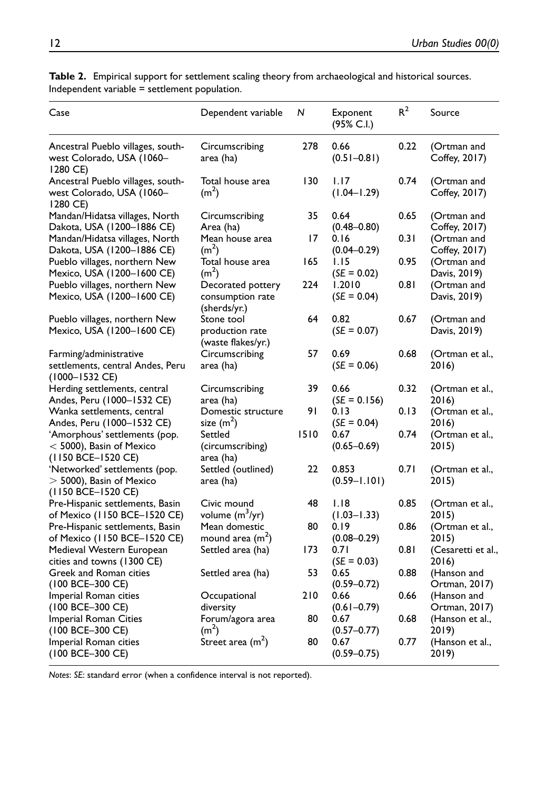| Case                                                                              | Dependent variable                                    | N    | Exponent<br>$(95\% C.I.)$ | $R^2$ | Source                       |
|-----------------------------------------------------------------------------------|-------------------------------------------------------|------|---------------------------|-------|------------------------------|
| Ancestral Pueblo villages, south-<br>west Colorado, USA (1060-<br>1280 CE)        | Circumscribing<br>area (ha)                           | 278  | 0.66<br>$(0.51 - 0.81)$   | 0.22  | (Ortman and<br>Coffey, 2017) |
| Ancestral Pueblo villages, south-<br>west Colorado, USA (1060–<br>1280 CE)        | Total house area<br>(m <sup>2</sup> )                 | 130  | 1.17<br>$(1.04 - 1.29)$   | 0.74  | (Ortman and<br>Coffey, 2017) |
| Mandan/Hidatsa villages, North<br>Dakota, USA (1200–1886 CE)                      | Circumscribing<br>Area (ha)                           | 35   | 0.64<br>$(0.48 - 0.80)$   | 0.65  | (Ortman and<br>Coffey, 2017) |
| Mandan/Hidatsa villages, North<br>Dakota, USA (1200–1886 CE)                      | Mean house area<br>(m <sup>2</sup> )                  | 17   | 0.16<br>$(0.04 - 0.29)$   | 0.31  | (Ortman and<br>Coffey, 2017) |
| Pueblo villages, northern New<br>Mexico, USA (1200-1600 CE)                       | Total house area<br>(m <sup>2</sup> )                 | 165  | 1.15<br>$(SE = 0.02)$     | 0.95  | (Ortman and<br>Davis, 2019)  |
| Pueblo villages, northern New<br>Mexico, USA (1200-1600 CE)                       | Decorated pottery<br>consumption rate<br>(sherds/yr.) | 224  | 1.2010<br>$(SE = 0.04)$   | 0.81  | (Ortman and<br>Davis, 2019)  |
| Pueblo villages, northern New<br>Mexico, USA (1200-1600 CE)                       | Stone tool<br>production rate<br>(waste flakes/yr.)   | 64   | 0.82<br>$(SE = 0.07)$     | 0.67  | (Ortman and<br>Davis, 2019)  |
| Farming/administrative                                                            | Circumscribing                                        | 57   | 0.69                      | 0.68  | (Ortman et al.,              |
| settlements, central Andes, Peru<br>$(1000 - 1532 \text{ CE})$                    | area (ha)                                             |      | $(SE = 0.06)$             |       | 2016)                        |
| Herding settlements, central<br>Andes, Peru (1000–1532 CE)                        | Circumscribing<br>area (ha)                           | 39   | 0.66<br>$(SE = 0.156)$    | 0.32  | (Ortman et al.,<br>2016)     |
| Wanka settlements, central<br>Andes, Peru (1000-1532 CE)                          | Domestic structure<br>size $(m^2)$                    | 91   | 0.13<br>$(SE = 0.04)$     | 0.13  | (Ortman et al.,<br>2016)     |
| 'Amorphous' settlements (pop.<br>$<$ 5000), Basin of Mexico<br>(1150 BCE-1520 CE) | Settled<br>(circumscribing)<br>area (ha)              | 1510 | 0.67<br>$(0.65 - 0.69)$   | 0.74  | (Ortman et al.,<br>2015)     |
| 'Networked' settlements (pop.<br>$>$ 5000), Basin of Mexico<br>(1150 BCE-1520 CE) | Settled (outlined)<br>area (ha)                       | 22   | 0.853<br>$(0.59 - 1.101)$ | 0.71  | (Ortman et al.,<br>2015)     |
| Pre-Hispanic settlements, Basin<br>of Mexico (1150 BCE-1520 CE)                   | Civic mound<br>volume $(m^3/yr)$                      | 48   | 1.18<br>$(1.03 - 1.33)$   | 0.85  | (Ortman et al.,<br>2015)     |
| Pre-Hispanic settlements, Basin<br>of Mexico (1150 BCE-1520 CE)                   | Mean domestic<br>mound area $(m2)$                    | 80   | 0.19<br>$(0.08 - 0.29)$   | 0.86  | (Ortman et al.,<br>2015      |
| Medieval Western European<br>cities and towns (1300 CE)                           | Settled area (ha)                                     | 173  | 0.71<br>$(SE = 0.03)$     | 0.81  | (Cesaretti et al.,<br>2016)  |
| Greek and Roman cities<br>$(100 \text{ BCE} - 300 \text{ CE})$                    | Settled area (ha)                                     | 53   | 0.65<br>$(0.59 - 0.72)$   | 0.88  | (Hanson and<br>Ortman, 2017) |
| Imperial Roman cities<br>$(100 \text{ BCE} - 300 \text{ CE})$                     | Occupational<br>diversity                             | 210  | 0.66<br>$(0.61 - 0.79)$   | 0.66  | (Hanson and<br>Ortman, 2017) |
| Imperial Roman Cities<br>(100 BCE-300 CE)                                         | Forum/agora area<br>(m <sup>2</sup> )                 | 80   | 0.67<br>$(0.57 - 0.77)$   | 0.68  | (Hanson et al.,<br>2019)     |
| Imperial Roman cities<br>$(100 \text{ BCE} - 300 \text{ CE})$                     | Street area (m <sup>2</sup> )                         | 80   | 0.67<br>$(0.59 - 0.75)$   | 0.77  | (Hanson et al.,<br>2019)     |

Table 2. Empirical support for settlement scaling theory from archaeological and historical sources. Independent variable = settlement population.

Notes: SE: standard error (when a confidence interval is not reported).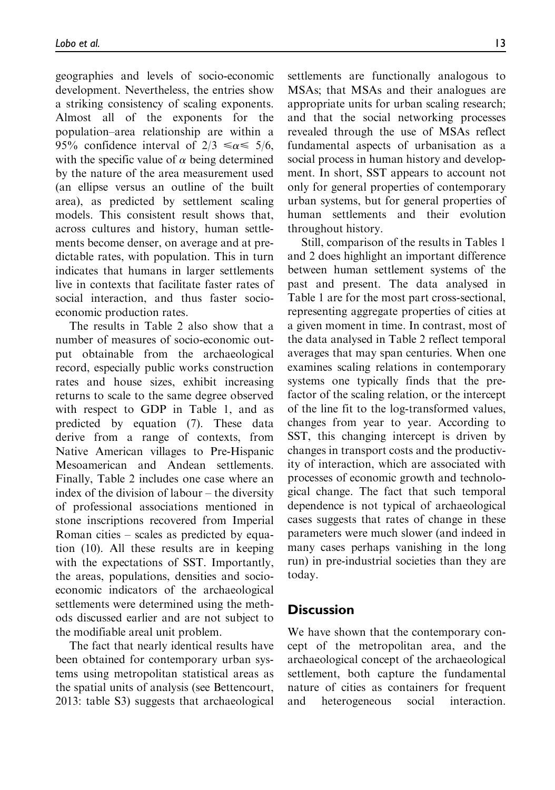geographies and levels of socio-economic development. Nevertheless, the entries show a striking consistency of scaling exponents. Almost all of the exponents for the population–area relationship are within a 95% confidence interval of  $2/3 \le \alpha \le 5/6$ , with the specific value of  $\alpha$  being determined by the nature of the area measurement used (an ellipse versus an outline of the built area), as predicted by settlement scaling models. This consistent result shows that, across cultures and history, human settlements become denser, on average and at predictable rates, with population. This in turn indicates that humans in larger settlements live in contexts that facilitate faster rates of social interaction, and thus faster socioeconomic production rates.

The results in Table 2 also show that a number of measures of socio-economic output obtainable from the archaeological record, especially public works construction rates and house sizes, exhibit increasing returns to scale to the same degree observed with respect to GDP in Table 1, and as predicted by equation (7). These data derive from a range of contexts, from Native American villages to Pre-Hispanic Mesoamerican and Andean settlements. Finally, Table 2 includes one case where an index of the division of labour – the diversity of professional associations mentioned in stone inscriptions recovered from Imperial Roman cities – scales as predicted by equation (10). All these results are in keeping with the expectations of SST. Importantly, the areas, populations, densities and socioeconomic indicators of the archaeological settlements were determined using the methods discussed earlier and are not subject to the modifiable areal unit problem.

The fact that nearly identical results have been obtained for contemporary urban systems using metropolitan statistical areas as the spatial units of analysis (see Bettencourt, 2013: table S3) suggests that archaeological

settlements are functionally analogous to MSAs; that MSAs and their analogues are appropriate units for urban scaling research; and that the social networking processes revealed through the use of MSAs reflect fundamental aspects of urbanisation as a social process in human history and development. In short, SST appears to account not only for general properties of contemporary urban systems, but for general properties of human settlements and their evolution throughout history.

Still, comparison of the results in Tables 1 and 2 does highlight an important difference between human settlement systems of the past and present. The data analysed in Table 1 are for the most part cross-sectional, representing aggregate properties of cities at a given moment in time. In contrast, most of the data analysed in Table 2 reflect temporal averages that may span centuries. When one examines scaling relations in contemporary systems one typically finds that the prefactor of the scaling relation, or the intercept of the line fit to the log-transformed values, changes from year to year. According to SST, this changing intercept is driven by changes in transport costs and the productivity of interaction, which are associated with processes of economic growth and technological change. The fact that such temporal dependence is not typical of archaeological cases suggests that rates of change in these parameters were much slower (and indeed in many cases perhaps vanishing in the long run) in pre-industrial societies than they are today.

### **Discussion**

We have shown that the contemporary concept of the metropolitan area, and the archaeological concept of the archaeological settlement, both capture the fundamental nature of cities as containers for frequent and heterogeneous social interaction.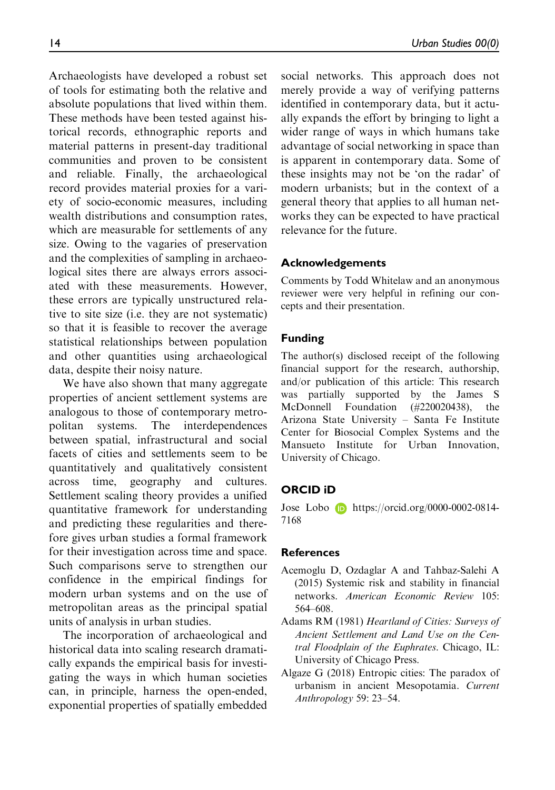Archaeologists have developed a robust set of tools for estimating both the relative and absolute populations that lived within them. These methods have been tested against historical records, ethnographic reports and material patterns in present-day traditional communities and proven to be consistent and reliable. Finally, the archaeological record provides material proxies for a variety of socio-economic measures, including wealth distributions and consumption rates, which are measurable for settlements of any size. Owing to the vagaries of preservation and the complexities of sampling in archaeological sites there are always errors associated with these measurements. However, these errors are typically unstructured relative to site size (i.e. they are not systematic) so that it is feasible to recover the average statistical relationships between population and other quantities using archaeological data, despite their noisy nature.

We have also shown that many aggregate properties of ancient settlement systems are analogous to those of contemporary metropolitan systems. The interdependences between spatial, infrastructural and social facets of cities and settlements seem to be quantitatively and qualitatively consistent across time, geography and cultures. Settlement scaling theory provides a unified quantitative framework for understanding and predicting these regularities and therefore gives urban studies a formal framework for their investigation across time and space. Such comparisons serve to strengthen our confidence in the empirical findings for modern urban systems and on the use of metropolitan areas as the principal spatial units of analysis in urban studies.

The incorporation of archaeological and historical data into scaling research dramatically expands the empirical basis for investigating the ways in which human societies can, in principle, harness the open-ended, exponential properties of spatially embedded

social networks. This approach does not merely provide a way of verifying patterns identified in contemporary data, but it actually expands the effort by bringing to light a wider range of ways in which humans take advantage of social networking in space than is apparent in contemporary data. Some of these insights may not be 'on the radar' of modern urbanists; but in the context of a general theory that applies to all human networks they can be expected to have practical relevance for the future.

#### Acknowledgements

Comments by Todd Whitelaw and an anonymous reviewer were very helpful in refining our concepts and their presentation.

#### Funding

The author(s) disclosed receipt of the following financial support for the research, authorship, and/or publication of this article: This research was partially supported by the James S McDonnell Foundation (#220020438), the Arizona State University – Santa Fe Institute Center for Biosocial Complex Systems and the Mansueto Institute for Urban Innovation, University of Chicago.

#### ORCID iD

Jose Lobo [https://orcid.org/0000-0002-0814-](https://orcid.org/0000-0002-0814-7168) [7168](https://orcid.org/0000-0002-0814-7168)

#### **References**

- Acemoglu D, Ozdaglar A and Tahbaz-Salehi A (2015) Systemic risk and stability in financial networks. American Economic Review 105: 564–608.
- Adams RM (1981) Heartland of Cities: Surveys of Ancient Settlement and Land Use on the Central Floodplain of the Euphrates. Chicago, IL: University of Chicago Press.
- Algaze G (2018) Entropic cities: The paradox of urbanism in ancient Mesopotamia. Current Anthropology 59: 23–54.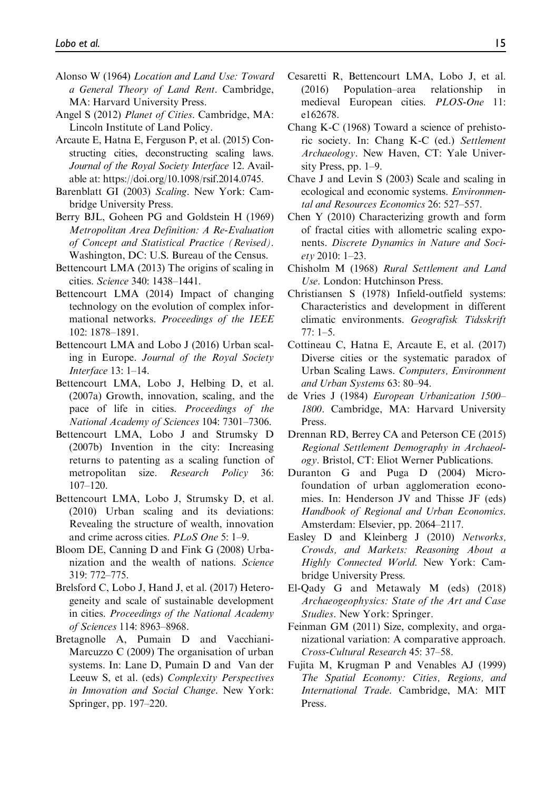- Alonso W (1964) Location and Land Use: Toward a General Theory of Land Rent. Cambridge, MA: Harvard University Press.
- Angel S (2012) Planet of Cities. Cambridge, MA: Lincoln Institute of Land Policy.
- Arcaute E, Hatna E, Ferguson P, et al. (2015) Constructing cities, deconstructing scaling laws. Journal of the Royal Society Interface 12. Available at: [https://doi.org/10.1098/rsif.2014.0745.](https://doi.org/10.1098/rsif.2014.0745)
- Barenblatt GI (2003) Scaling. New York: Cambridge University Press.
- Berry BJL, Goheen PG and Goldstein H (1969) Metropolitan Area Definition: A Re-Evaluation of Concept and Statistical Practice (Revised). Washington, DC: U.S. Bureau of the Census.
- Bettencourt LMA (2013) The origins of scaling in cities. Science 340: 1438–1441.
- Bettencourt LMA (2014) Impact of changing technology on the evolution of complex informational networks. Proceedings of the IEEE 102: 1878–1891.
- Bettencourt LMA and Lobo J (2016) Urban scaling in Europe. Journal of the Royal Society Interface 13: 1–14.
- Bettencourt LMA, Lobo J, Helbing D, et al. (2007a) Growth, innovation, scaling, and the pace of life in cities. Proceedings of the National Academy of Sciences 104: 7301–7306.
- Bettencourt LMA, Lobo J and Strumsky D (2007b) Invention in the city: Increasing returns to patenting as a scaling function of metropolitan size. Research Policy 36: 107–120.
- Bettencourt LMA, Lobo J, Strumsky D, et al. (2010) Urban scaling and its deviations: Revealing the structure of wealth, innovation and crime across cities. PLoS One 5: 1–9.
- Bloom DE, Canning D and Fink G (2008) Urbanization and the wealth of nations. Science 319: 772–775.
- Brelsford C, Lobo J, Hand J, et al. (2017) Heterogeneity and scale of sustainable development in cities. Proceedings of the National Academy of Sciences 114: 8963–8968.
- Bretagnolle A, Pumain D and Vacchiani-Marcuzzo C (2009) The organisation of urban systems. In: Lane D, Pumain D and Van der Leeuw S, et al. (eds) Complexity Perspectives in Innovation and Social Change. New York: Springer, pp. 197–220.
- Cesaretti R, Bettencourt LMA, Lobo J, et al. (2016) Population–area relationship in medieval European cities. PLOS-One 11: e162678.
- Chang K-C (1968) Toward a science of prehistoric society. In: Chang K-C (ed.) Settlement Archaeology. New Haven, CT: Yale University Press, pp. 1–9.
- Chave J and Levin S (2003) Scale and scaling in ecological and economic systems. Environmental and Resources Economics 26: 527–557.
- Chen Y (2010) Characterizing growth and form of fractal cities with allometric scaling exponents. Discrete Dynamics in Nature and Society 2010: 1–23.
- Chisholm M (1968) Rural Settlement and Land Use. London: Hutchinson Press.
- Christiansen S (1978) Infield-outfield systems: Characteristics and development in different climatic environments. Geografisk Tidsskrift  $77 \cdot 1 - 5$
- Cottineau C, Hatna E, Arcaute E, et al. (2017) Diverse cities or the systematic paradox of Urban Scaling Laws. Computers, Environment and Urban Systems 63: 80–94.
- de Vries J (1984) European Urbanization 1500– 1800. Cambridge, MA: Harvard University **Press**.
- Drennan RD, Berrey CA and Peterson CE (2015) Regional Settlement Demography in Archaeology. Bristol, CT: Eliot Werner Publications.
- Duranton G and Puga D (2004) Microfoundation of urban agglomeration economies. In: Henderson JV and Thisse JF (eds) Handbook of Regional and Urban Economics. Amsterdam: Elsevier, pp. 2064–2117.
- Easley D and Kleinberg J (2010) Networks, Crowds, and Markets: Reasoning About a Highly Connected World. New York: Cambridge University Press.
- El-Qady G and Metawaly M (eds) (2018) Archaeogeophysics: State of the Art and Case Studies. New York: Springer.
- Feinman GM (2011) Size, complexity, and organizational variation: A comparative approach. Cross-Cultural Research 45: 37–58.
- Fujita M, Krugman P and Venables AJ (1999) The Spatial Economy: Cities, Regions, and International Trade. Cambridge, MA: MIT Press.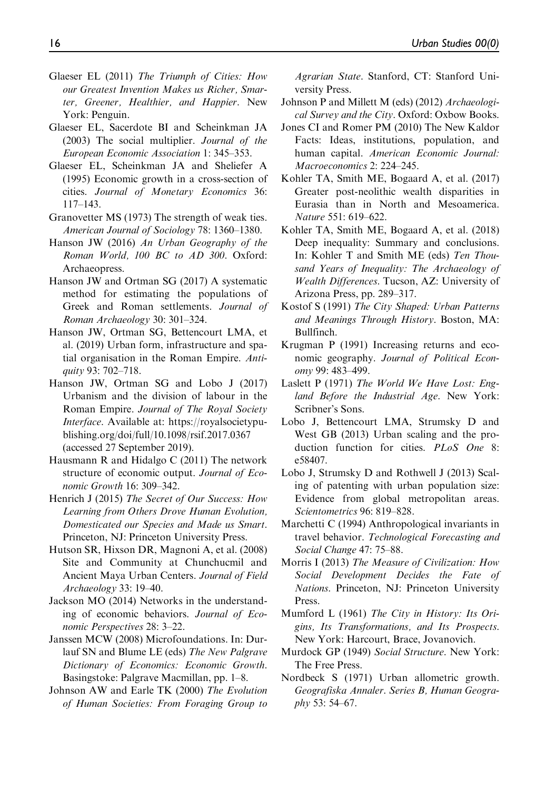- Glaeser EL (2011) The Triumph of Cities: How our Greatest Invention Makes us Richer, Smarter, Greener, Healthier, and Happier. New York: Penguin.
- Glaeser EL, Sacerdote BI and Scheinkman JA (2003) The social multiplier. Journal of the European Economic Association 1: 345–353.
- Glaeser EL, Scheinkman JA and Sheliefer A (1995) Economic growth in a cross-section of cities. Journal of Monetary Economics 36: 117–143.
- Granovetter MS (1973) The strength of weak ties. American Journal of Sociology 78: 1360–1380.
- Hanson JW (2016) An Urban Geography of the Roman World, 100 BC to AD 300. Oxford: Archaeopress.
- Hanson JW and Ortman SG (2017) A systematic method for estimating the populations of Greek and Roman settlements. Journal of Roman Archaeology 30: 301–324.
- Hanson JW, Ortman SG, Bettencourt LMA, et al. (2019) Urban form, infrastructure and spatial organisation in the Roman Empire. Antiquity 93: 702–718.
- Hanson JW, Ortman SG and Lobo J (2017) Urbanism and the division of labour in the Roman Empire. Journal of The Royal Society Interface. Available at: [https://royalsocietypu](https://royalsocietypublishing.org/doi/full/10.1098/rsif.2017)[blishing.org/doi/full/10.1098/rsif.2017.](https://royalsocietypublishing.org/doi/full/10.1098/rsif.2017)0367 (accessed 27 September 2019).
- Hausmann R and Hidalgo C (2011) The network structure of economic output. Journal of Economic Growth 16: 309–342.
- Henrich J (2015) The Secret of Our Success: How Learning from Others Drove Human Evolution, Domesticated our Species and Made us Smart. Princeton, NJ: Princeton University Press.
- Hutson SR, Hixson DR, Magnoni A, et al. (2008) Site and Community at Chunchucmil and Ancient Maya Urban Centers. Journal of Field Archaeology 33: 19–40.
- Jackson MO (2014) Networks in the understanding of economic behaviors. Journal of Economic Perspectives 28: 3–22.
- Janssen MCW (2008) Microfoundations. In: Durlauf SN and Blume LE (eds) The New Palgrave Dictionary of Economics: Economic Growth. Basingstoke: Palgrave Macmillan, pp. 1–8.
- Johnson AW and Earle TK (2000) The Evolution of Human Societies: From Foraging Group to

Agrarian State. Stanford, CT: Stanford University Press.

- Johnson P and Millett M (eds) (2012) Archaeological Survey and the City. Oxford: Oxbow Books.
- Jones CI and Romer PM (2010) The New Kaldor Facts: Ideas, institutions, population, and human capital. American Economic Journal: Macroeconomics 2: 224–245.
- Kohler TA, Smith ME, Bogaard A, et al. (2017) Greater post-neolithic wealth disparities in Eurasia than in North and Mesoamerica. Nature 551: 619–622.
- Kohler TA, Smith ME, Bogaard A, et al. (2018) Deep inequality: Summary and conclusions. In: Kohler T and Smith ME (eds) Ten Thousand Years of Inequality: The Archaeology of Wealth Differences. Tucson, AZ: University of Arizona Press, pp. 289–317.
- Kostof S (1991) The City Shaped: Urban Patterns and Meanings Through History. Boston, MA: Bullfinch.
- Krugman P (1991) Increasing returns and economic geography. Journal of Political Economy 99: 483–499.
- Laslett P (1971) The World We Have Lost: England Before the Industrial Age. New York: Scribner's Sons.
- Lobo J, Bettencourt LMA, Strumsky D and West GB (2013) Urban scaling and the production function for cities. PLoS One 8: e58407.
- Lobo J, Strumsky D and Rothwell J (2013) Scaling of patenting with urban population size: Evidence from global metropolitan areas. Scientometrics 96: 819–828.
- Marchetti C (1994) Anthropological invariants in travel behavior. Technological Forecasting and Social Change 47: 75–88.
- Morris I (2013) The Measure of Civilization: How Social Development Decides the Fate of Nations. Princeton, NJ: Princeton University Press.
- Mumford L (1961) The City in History: Its Origins, Its Transformations, and Its Prospects. New York: Harcourt, Brace, Jovanovich.
- Murdock GP (1949) Social Structure. New York: The Free Press.
- Nordbeck S (1971) Urban allometric growth. Geografiska Annaler. Series B, Human Geography 53: 54–67.